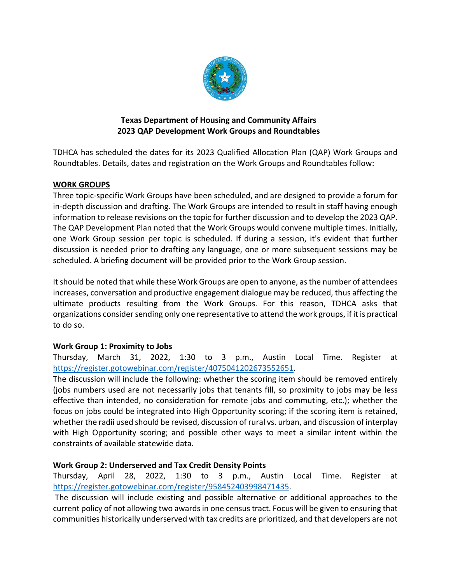

## **Texas Department of Housing and Community Affairs 2023 QAP Development Work Groups and Roundtables**

TDHCA has scheduled the dates for its 2023 Qualified Allocation Plan (QAP) Work Groups and Roundtables. Details, dates and registration on the Work Groups and Roundtables follow:

# **WORK GROUPS**

Three topic‐specific Work Groups have been scheduled, and are designed to provide a forum for in-depth discussion and drafting. The Work Groups are intended to result in staff having enough information to release revisions on the topic for further discussion and to develop the 2023 QAP. The QAP Development Plan noted that the Work Groups would convene multiple times. Initially, one Work Group session per topic is scheduled. If during a session, it's evident that further discussion is needed prior to drafting any language, one or more subsequent sessions may be scheduled. A briefing document will be provided prior to the Work Group session.

Itshould be noted that while these Work Groups are open to anyone, asthe number of attendees increases, conversation and productive engagement dialogue may be reduced, thus affecting the ultimate products resulting from the Work Groups. For this reason, TDHCA asks that organizations consider sending only one representative to attend the work groups, if it is practical to do so.

# **Work Group 1: Proximity to Jobs**

Thursday, March 31, 2022, 1:30 to 3 p.m., Austin Local Time. Register at https://register.gotowebinar.com/register/4075041202673552651.

The discussion will include the following: whether the scoring item should be removed entirely (jobs numbers used are not necessarily jobs that tenants fill, so proximity to jobs may be less effective than intended, no consideration for remote jobs and commuting, etc.); whether the focus on jobs could be integrated into High Opportunity scoring; if the scoring item is retained, whether the radii used should be revised, discussion of rural vs. urban, and discussion of interplay with High Opportunity scoring; and possible other ways to meet a similar intent within the constraints of available statewide data.

#### **Work Group 2: Underserved and Tax Credit Density Points**

Thursday, April 28, 2022, 1:30 to 3 p.m., Austin Local Time. Register at https://register.gotowebinar.com/register/958452403998471435.

The discussion will include existing and possible alternative or additional approaches to the current policy of not allowing two awardsin one censustract. Focus will be given to ensuring that communities historically underserved with tax credits are prioritized, and that developers are not